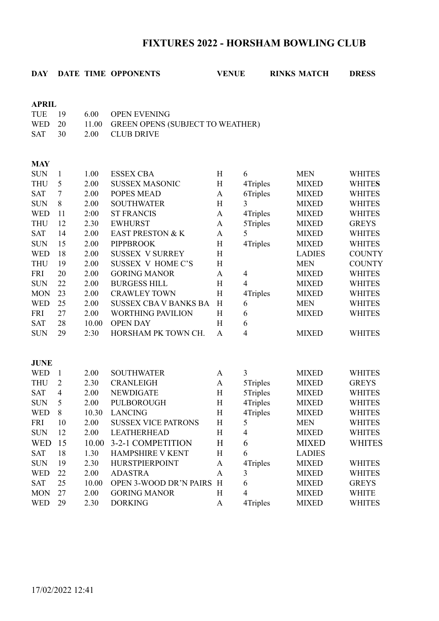# **FIXTURES 2022 - HORSHAM BOWLING CLUB**

# **DAY DATE TIME OPPONENTS VENUE RINKS MATCH DRESS APRIL** TUE 19 6.00 OPEN EVENING

WED 20 11.00 GREEN OPENS (SUBJECT TO WEATHER)

| SAT |  |  |  | 30 | 2.00 | CLUB DRIVE |
|-----|--|--|--|----|------|------------|
|-----|--|--|--|----|------|------------|

#### **MAY**

| <b>SUN</b>  | 1              | 1.00  | <b>ESSEX CBA</b>             | H                         | 6              | <b>MEN</b>    | <b>WHITES</b> |
|-------------|----------------|-------|------------------------------|---------------------------|----------------|---------------|---------------|
| <b>THU</b>  | 5              | 2.00  | <b>SUSSEX MASONIC</b>        | H                         | 4Triples       | <b>MIXED</b>  | <b>WHITES</b> |
| <b>SAT</b>  | $\overline{7}$ | 2.00  | <b>POPES MEAD</b>            | $\mathbf A$               | 6Triples       | <b>MIXED</b>  | <b>WHITES</b> |
| <b>SUN</b>  | 8              | 2.00  | <b>SOUTHWATER</b>            | H                         | 3              | <b>MIXED</b>  | <b>WHITES</b> |
| <b>WED</b>  | 11             | 2:00  | <b>ST FRANCIS</b>            | $\mathbf{A}$              | 4Triples       | <b>MIXED</b>  | <b>WHITES</b> |
| <b>THU</b>  | 12             | 2.30  | <b>EWHURST</b>               | $\mathbf{A}$              | 5Triples       | <b>MIXED</b>  | <b>GREYS</b>  |
| <b>SAT</b>  | 14             | 2.00  | <b>EAST PRESTON &amp; K</b>  | $\mathbf{A}$              | 5              | <b>MIXED</b>  | <b>WHITES</b> |
| <b>SUN</b>  | 15             | 2.00  | <b>PIPPBROOK</b>             | H                         | 4Triples       | <b>MIXED</b>  | <b>WHITES</b> |
| <b>WED</b>  | 18             | 2.00  | <b>SUSSEX V SURREY</b>       | H                         |                | <b>LADIES</b> | <b>COUNTY</b> |
| <b>THU</b>  | 19             | 2.00  | <b>SUSSEX V HOME C'S</b>     | H                         |                | <b>MEN</b>    | <b>COUNTY</b> |
| <b>FRI</b>  | 20             | 2.00  | <b>GORING MANOR</b>          | $\mathbf A$               | $\overline{4}$ | <b>MIXED</b>  | <b>WHITES</b> |
| <b>SUN</b>  | 22             | 2.00  | <b>BURGESS HILL</b>          | H                         | $\overline{4}$ | <b>MIXED</b>  | <b>WHITES</b> |
| <b>MON</b>  | 23             | 2.00  | <b>CRAWLEY TOWN</b>          | H                         | 4Triples       | <b>MIXED</b>  | <b>WHITES</b> |
| <b>WED</b>  | 25             | 2.00  | <b>SUSSEX CBA V BANKS BA</b> | H                         | 6              | <b>MEN</b>    | <b>WHITES</b> |
| <b>FRI</b>  | 27             | 2.00  | <b>WORTHING PAVILION</b>     | H                         | 6              | <b>MIXED</b>  | <b>WHITES</b> |
| <b>SAT</b>  | 28             | 10.00 | <b>OPEN DAY</b>              | H                         | 6              |               |               |
| <b>SUN</b>  | 29             | 2:30  | HORSHAM PK TOWN CH.          | $\mathbf{A}$              | $\overline{4}$ | <b>MIXED</b>  | <b>WHITES</b> |
|             |                |       |                              |                           |                |               |               |
|             |                |       |                              |                           |                |               |               |
| <b>JUNE</b> |                |       |                              |                           |                |               |               |
| <b>WED</b>  | $\mathbf{1}$   | 2.00  | <b>SOUTHWATER</b>            | A                         | 3              | <b>MIXED</b>  | <b>WHITES</b> |
| <b>THU</b>  | $\overline{2}$ | 2.30  | <b>CRANLEIGH</b>             | $\mathbf{A}$              | 5Triples       | <b>MIXED</b>  | <b>GREYS</b>  |
| <b>SAT</b>  | $\overline{4}$ | 2.00  | <b>NEWDIGATE</b>             | H                         | 5Triples       | <b>MIXED</b>  | <b>WHITES</b> |
| <b>SUN</b>  | 5              | 2.00  | PULBOROUGH                   | $\boldsymbol{\mathrm{H}}$ | 4Triples       | <b>MIXED</b>  | <b>WHITES</b> |
| <b>WED</b>  | 8              | 10.30 | <b>LANCING</b>               | H                         | 4Triples       | <b>MIXED</b>  | <b>WHITES</b> |
| <b>FRI</b>  | 10             | 2.00  | <b>SUSSEX VICE PATRONS</b>   | H                         | 5              | <b>MEN</b>    | <b>WHITES</b> |
| <b>SUN</b>  | 12             | 2.00  | <b>LEATHERHEAD</b>           | H                         | $\overline{4}$ | <b>MIXED</b>  | <b>WHITES</b> |
| <b>WED</b>  | 15             | 10.00 | 3-2-1 COMPETITION            | H                         | 6              | <b>MIXED</b>  | <b>WHITES</b> |
| <b>SAT</b>  | 18             | 1.30  | HAMPSHIRE V KENT             | H                         | 6              | <b>LADIES</b> |               |
| <b>SUN</b>  | 19             | 2.30  | <b>HURSTPIERPOINT</b>        | $\mathbf{A}$              | 4Triples       | <b>MIXED</b>  | <b>WHITES</b> |
| <b>WED</b>  | 22             | 2.00  | <b>ADASTRA</b>               | $\mathbf{A}$              | 3              | <b>MIXED</b>  | <b>WHITES</b> |
| <b>SAT</b>  | 25             | 10.00 | OPEN 3-WOOD DR'N PAIRS       | H                         | 6              | <b>MIXED</b>  | <b>GREYS</b>  |
| <b>MON</b>  | 27             | 2.00  | <b>GORING MANOR</b>          | H                         | $\overline{4}$ | <b>MIXED</b>  | <b>WHITE</b>  |
| <b>WED</b>  | 29             | 2.30  | <b>DORKING</b>               | A                         | 4Triples       | <b>MIXED</b>  | <b>WHITES</b> |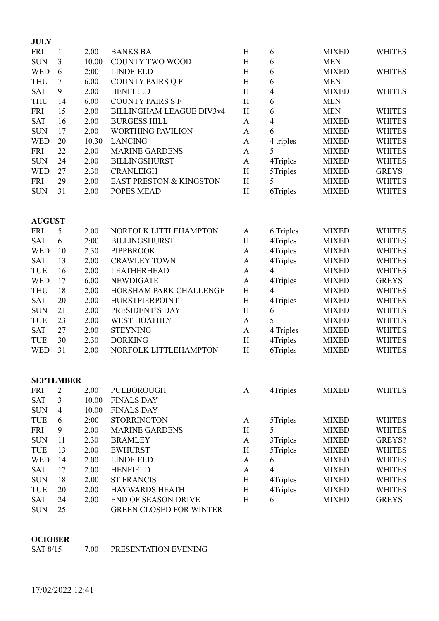| <b>JULY</b> |    |       |                                    |              |           |              |               |
|-------------|----|-------|------------------------------------|--------------|-----------|--------------|---------------|
| <b>FRI</b>  |    | 2.00  | <b>BANKS BA</b>                    | H            | 6         | <b>MIXED</b> | <b>WHITES</b> |
| <b>SUN</b>  | 3  | 10.00 | <b>COUNTY TWO WOOD</b>             | H            | 6         | <b>MEN</b>   |               |
| <b>WED</b>  | 6  | 2:00  | <b>LINDFIELD</b>                   | H            | 6         | <b>MIXED</b> | <b>WHITES</b> |
| <b>THU</b>  | 7  | 6.00  | <b>COUNTY PAIRS Q F</b>            | H            | 6         | <b>MEN</b>   |               |
| <b>SAT</b>  | 9  | 2.00  | <b>HENFIELD</b>                    | H            | 4         | <b>MIXED</b> | <b>WHITES</b> |
| <b>THU</b>  | 14 | 6.00  | <b>COUNTY PAIRS S F</b>            | Η            | 6         | <b>MEN</b>   |               |
| <b>FRI</b>  | 15 | 2.00  | <b>BILLINGHAM LEAGUE DIV3v4</b>    | H            | 6         | <b>MEN</b>   | <b>WHITES</b> |
| <b>SAT</b>  | 16 | 2.00  | <b>BURGESS HILL</b>                | A            | 4         | <b>MIXED</b> | <b>WHITES</b> |
| <b>SUN</b>  | 17 | 2.00  | <b>WORTHING PAVILION</b>           | A            | 6         | <b>MIXED</b> | <b>WHITES</b> |
| <b>WED</b>  | 20 | 10.30 | <b>LANCING</b>                     | A            | 4 triples | <b>MIXED</b> | <b>WHITES</b> |
| <b>FRI</b>  | 22 | 2.00  | <b>MARINE GARDENS</b>              | A            | 5         | <b>MIXED</b> | <b>WHITES</b> |
| <b>SUN</b>  | 24 | 2.00  | <b>BILLINGSHURST</b>               | $\mathbf{A}$ | 4Triples  | <b>MIXED</b> | <b>WHITES</b> |
| <b>WED</b>  | 27 | 2.30  | <b>CRANLEIGH</b>                   | H            | 5Triples  | <b>MIXED</b> | <b>GREYS</b>  |
| <b>FRI</b>  | 29 | 2.00  | <b>EAST PRESTON &amp; KINGSTON</b> | H            | 5         | <b>MIXED</b> | <b>WHITES</b> |
| <b>SUN</b>  | 31 | 2.00  | <b>POPES MEAD</b>                  | H            | 6Triples  | <b>MIXED</b> | <b>WHITES</b> |
|             |    |       |                                    |              |           |              |               |

#### **AUGUST**

| <b>FRI</b> | 5  | 2.00 | NORFOLK LITTLEHAMPTON  | A | 6 Triples | <b>MIXED</b> | <b>WHITES</b> |
|------------|----|------|------------------------|---|-----------|--------------|---------------|
| <b>SAT</b> | 6  | 2:00 | <b>BILLINGSHURST</b>   | H | 4Triples  | <b>MIXED</b> | <b>WHITES</b> |
| <b>WED</b> | 10 | 2.30 | <b>PIPPBROOK</b>       | A | 4Triples  | <b>MIXED</b> | <b>WHITES</b> |
| <b>SAT</b> | 13 | 2.00 | <b>CRAWLEY TOWN</b>    | A | 4Triples  | <b>MIXED</b> | <b>WHITES</b> |
| TUE        | 16 | 2.00 | <b>LEATHERHEAD</b>     | A | 4         | <b>MIXED</b> | <b>WHITES</b> |
| <b>WED</b> | 17 | 6.00 | <b>NEWDIGATE</b>       | A | 4Triples  | <b>MIXED</b> | <b>GREYS</b>  |
| <b>THU</b> | 18 | 2.00 | HORSHAM PARK CHALLENGE | H | 4         | <b>MIXED</b> | <b>WHITES</b> |
| <b>SAT</b> | 20 | 2.00 | <b>HURSTPIERPOINT</b>  | H | 4Triples  | <b>MIXED</b> | <b>WHITES</b> |
| <b>SUN</b> | 21 | 2.00 | PRESIDENT'S DAY        | H | 6         | <b>MIXED</b> | <b>WHITES</b> |
| TUE        | 23 | 2.00 | <b>WEST HOATHLY</b>    | A | 5         | <b>MIXED</b> | <b>WHITES</b> |
| <b>SAT</b> | 27 | 2.00 | <b>STEYNING</b>        | A | 4 Triples | <b>MIXED</b> | <b>WHITES</b> |
| TUE        | 30 | 2.30 | <b>DORKING</b>         | H | 4Triples  | <b>MIXED</b> | <b>WHITES</b> |
| <b>WED</b> | 31 | 2.00 | NORFOLK LITTLEHAMPTON  | H | 6Triples  | <b>MIXED</b> | <b>WHITES</b> |
|            |    |      |                        |   |           |              |               |

| <b>SEPTEMBER</b> |    |       |                                |   |                |              |               |  |  |
|------------------|----|-------|--------------------------------|---|----------------|--------------|---------------|--|--|
| FRI              | 2  | 2.00  | PULBOROUGH                     | A | 4Triples       | <b>MIXED</b> | <b>WHITES</b> |  |  |
| <b>SAT</b>       | 3  | 10.00 | <b>FINALS DAY</b>              |   |                |              |               |  |  |
| <b>SUN</b>       | 4  | 10.00 | <b>FINALS DAY</b>              |   |                |              |               |  |  |
| TUE              | 6  | 2:00  | <b>STORRINGTON</b>             | A | 5Triples       | <b>MIXED</b> | <b>WHITES</b> |  |  |
| <b>FRI</b>       | 9  | 2.00  | <b>MARINE GARDENS</b>          | H | 5              | <b>MIXED</b> | <b>WHITES</b> |  |  |
| <b>SUN</b>       | 11 | 2.30  | <b>BRAMLEY</b>                 | A | 3Triples       | <b>MIXED</b> | GREYS?        |  |  |
| <b>TUE</b>       | 13 | 2.00  | <b>EWHURST</b>                 | H | 5Triples       | <b>MIXED</b> | <b>WHITES</b> |  |  |
| <b>WED</b>       | 14 | 2.00  | <b>LINDFIELD</b>               | A | 6              | <b>MIXED</b> | <b>WHITES</b> |  |  |
| <b>SAT</b>       | 17 | 2.00  | <b>HENFIELD</b>                | A | $\overline{4}$ | <b>MIXED</b> | <b>WHITES</b> |  |  |
| <b>SUN</b>       | 18 | 2:00  | <b>ST FRANCIS</b>              | H | 4Triples       | <b>MIXED</b> | <b>WHITES</b> |  |  |
| <b>TUE</b>       | 20 | 2.00  | <b>HAYWARDS HEATH</b>          | H | 4Triples       | <b>MIXED</b> | <b>WHITES</b> |  |  |
| <b>SAT</b>       | 24 | 2.00  | <b>END OF SEASON DRIVE</b>     | H | 6              | <b>MIXED</b> | <b>GREYS</b>  |  |  |
| <b>SUN</b>       | 25 |       | <b>GREEN CLOSED FOR WINTER</b> |   |                |              |               |  |  |

#### **OCIOBER**

SAT 8/15 7.00 PRESENTATION EVENING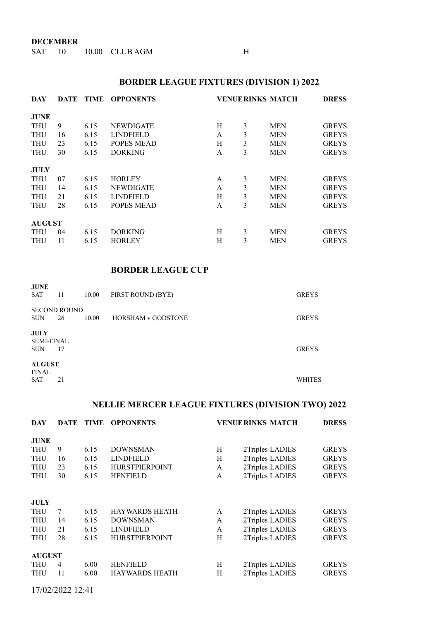**DECEMBER**

SAT 10 10.00 CLUB AGM H

## **BORDER LEAGUE FIXTURES (DIVISION 1) 2022**

| DAY           | DATE | TIME | <b>OPPONENTS</b>  |   |   | <b>VENUE RINKS MATCH</b> | <b>DRESS</b> |
|---------------|------|------|-------------------|---|---|--------------------------|--------------|
| <b>JUNE</b>   |      |      |                   |   |   |                          |              |
| <b>THU</b>    | 9    | 6.15 | <b>NEWDIGATE</b>  | H | 3 | <b>MEN</b>               | <b>GREYS</b> |
| <b>THU</b>    | 16   | 6.15 | <b>LINDFIELD</b>  | A | 3 | <b>MEN</b>               | <b>GREYS</b> |
| <b>THU</b>    | 23   | 6.15 | POPES MEAD        | H | 3 | <b>MEN</b>               | <b>GREYS</b> |
| <b>THU</b>    | 30   | 6.15 | <b>DORKING</b>    | A | 3 | <b>MEN</b>               | <b>GREYS</b> |
|               |      |      |                   |   |   |                          |              |
| <b>JULY</b>   |      |      |                   |   |   |                          |              |
| <b>THU</b>    | 07   | 6.15 | <b>HORLEY</b>     | A | 3 | <b>MEN</b>               | <b>GREYS</b> |
| <b>THU</b>    | 14   | 6.15 | <b>NEWDIGATE</b>  | A | 3 | <b>MEN</b>               | <b>GREYS</b> |
| <b>THU</b>    | 21   | 6.15 | <b>LINDFIELD</b>  | H | 3 | <b>MEN</b>               | <b>GREYS</b> |
| <b>THU</b>    | 28   | 6.15 | <b>POPES MEAD</b> | A | 3 | <b>MEN</b>               | <b>GREYS</b> |
|               |      |      |                   |   |   |                          |              |
| <b>AUGUST</b> |      |      |                   |   |   |                          |              |
| <b>THU</b>    | 04   | 6.15 | <b>DORKING</b>    | Н | 3 | <b>MEN</b>               | <b>GREYS</b> |
| <b>THU</b>    | 11   | 6.15 | <b>HORLEY</b>     | H | 3 | <b>MEN</b>               | <b>GREYS</b> |

#### **BORDER LEAGUE CUP**

| <b>JUNE</b><br><b>SAT</b>                      | 11                        | 10.00 | <b>FIRST ROUND (BYE)</b>  | <b>GREYS</b>  |
|------------------------------------------------|---------------------------|-------|---------------------------|---------------|
| <b>SUN</b>                                     | <b>SECOND ROUND</b><br>26 | 10.00 | <b>HORSHAM v GODSTONE</b> | <b>GREYS</b>  |
| <b>JULY</b><br><b>SEMI-FINAL</b><br><b>SUN</b> | 17                        |       |                           | <b>GREYS</b>  |
| <b>AUGUST</b><br><b>FINAL</b><br><b>SAT</b>    | 21                        |       |                           | <b>WHITES</b> |

## **NELLIE MERCER LEAGUE FIXTURES (DIVISION TWO) 2022**

| DAY           | DATE           | <b>TIME</b> | <b>OPPONENTS</b>      | <b>VENUE RINKS MATCH</b> |                 | <b>DRESS</b> |
|---------------|----------------|-------------|-----------------------|--------------------------|-----------------|--------------|
| <b>JUNE</b>   |                |             |                       |                          |                 |              |
| <b>THU</b>    | 9              | 6.15        | <b>DOWNSMAN</b>       | H                        | 2Triples LADIES | <b>GREYS</b> |
| <b>THU</b>    | 16             | 6.15        | <b>LINDFIELD</b>      | H                        | 2Triples LADIES | <b>GREYS</b> |
| <b>THU</b>    | 23             | 6.15        | <b>HURSTPIERPOINT</b> | A                        | 2Triples LADIES | <b>GREYS</b> |
| <b>THU</b>    | 30             | 6.15        | <b>HENFIELD</b>       | A                        | 2Triples LADIES | <b>GREYS</b> |
|               |                |             |                       |                          |                 |              |
| JULY          |                |             |                       |                          |                 |              |
| <b>THU</b>    | 7              | 6.15        | <b>HAYWARDS HEATH</b> | A                        | 2Triples LADIES | <b>GREYS</b> |
| <b>THU</b>    | 14             | 6.15        | <b>DOWNSMAN</b>       | A                        | 2Triples LADIES | <b>GREYS</b> |
| <b>THU</b>    | 21             | 6.15        | <b>LINDFIELD</b>      | A                        | 2Triples LADIES | <b>GREYS</b> |
| <b>THU</b>    | 28             | 6.15        | <b>HURSTPIERPOINT</b> | H                        | 2Triples LADIES | <b>GREYS</b> |
|               |                |             |                       |                          |                 |              |
| <b>AUGUST</b> |                |             |                       |                          |                 |              |
| <b>THU</b>    | $\overline{4}$ | 6.00        | <b>HENFIELD</b>       | H                        | 2Triples LADIES | <b>GREYS</b> |
| <b>THU</b>    | 11             | 6.00        | <b>HAYWARDS HEATH</b> | H                        | 2Triples LADIES | <b>GREYS</b> |
|               |                |             |                       |                          |                 |              |